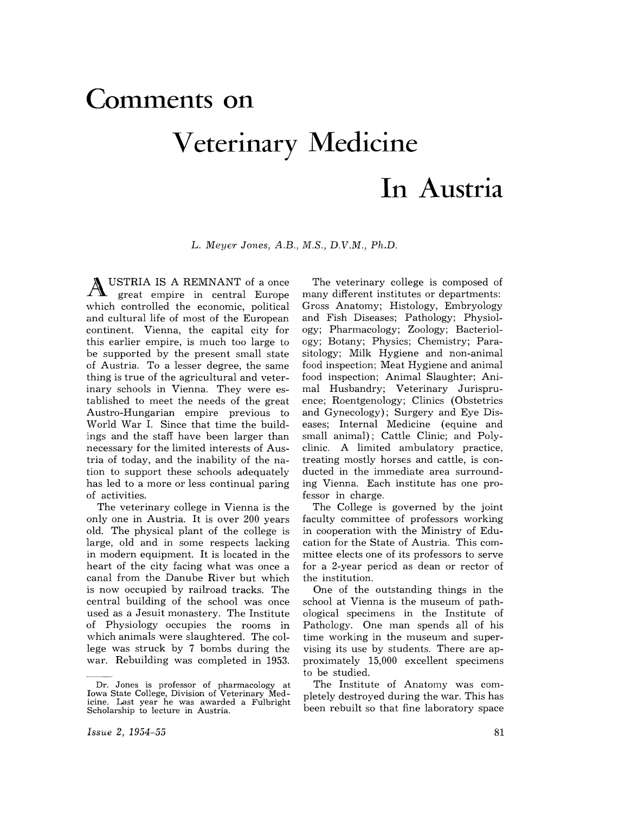## **Comments on Veterinary Medicine**

## **In Austria**

L. *Mey€'r Jones, A.B., M.S., D.V.M., Ph.D.* 

USTRIA IS A REMNANT of a once great empire in central Europe which controlled the economic, political and cultural life of most of the European continent. Vienna, the capital city for this earlier empire, is much too large to be supported by the present small state of Austria. To a lesser degree, the same thing is true of the agricultural and veterinary schools in Vienna. They were established to meet the needs of the great Austro-Hungarian empire previous to World War I. Since that time the buildings and the staff have been larger than necessary for the limited interests of Austria of today, and the inability of the nation to support these schools adequately has led to a more or less continual paring of activities.

The veterinary college in Vienna is the only one in Austria. It is over 200 years old. The physical plant of the college is large, old and in some respects lacking in modern equipment. It is located in the heart of the city facing what was once a canal from the Danube River but which is now occupied by railroad tracks. The central building of the school. was once used as a Jesuit monastery. The Institute of Physiology occupies the rooms in which animals were slaughtered. The college was struck by 7 bombs during the war. Rebuilding was completed in 1953.

The veterinary college is composed of many different institutes or departments: Gross Anatomy; Histology, Embryology and Fish Diseases; Pathology; Physiology; Pharmacology; Zoology; Bacteriology; Botany; Physics; Chemistry; Parasitology; Milk Hygiene and non-animal food inspection; Meat Hygiene and animal food inspection; Animal Slaughter; Animal Husbandry; Veterinary Jurispruence; Roentgenology; Clinics (Obstetrics and Gynecology); Surgery and Eye Diseases; Internal Medicine (equine and small animal); Cattle Clinic; and Polyclinic. A limited ambulatory practice, treating mostly horses and cattle, is conducted in the immediate area surrounding Vienna. Each institute has one professor in charge.

The College is governed by the joint faculty committee of professors working in cooperation with the Ministry of Education for the State of Austria. This committee elects one of its professors to serve for a 2-year period as dean or rector of the institution.

One of the outstanding things in the school at Vienna is the museum of pathological specimens in the Institute of Pathology. One man spends all of his time working in the museum and supervising its use by students. There are approximately 15,000 excellent specimens to be studied.

The Institute of Anatomy was completely destroyed during the war. This has been rebuilt so that fine laboratory space

Dr. Jones is professor of pharmacology at Iowa State College, Division of Veterinary Medicine. Last year he was awarded a Fulbright Scholarship to lecture in Austria.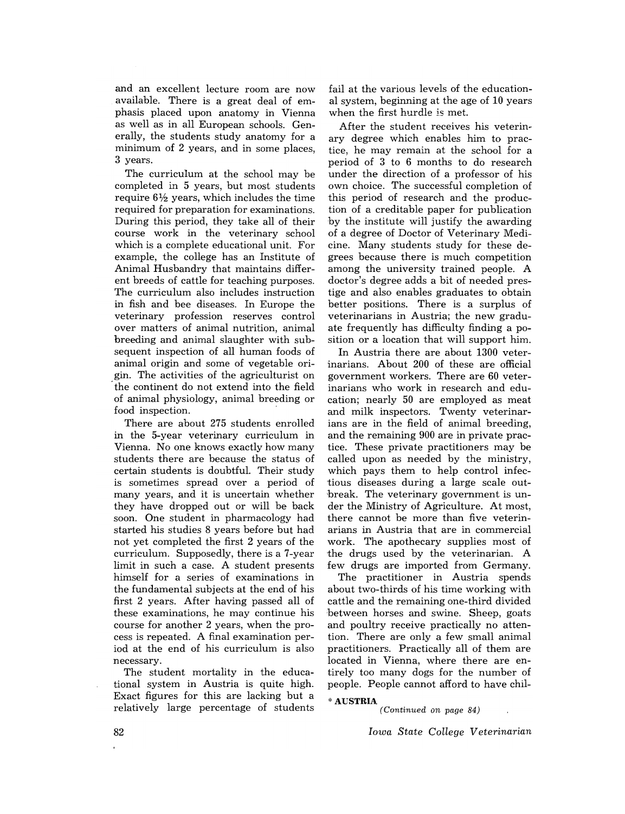and an excellent lecture room are now available. There is a great deal of emphasis placed upon anatomy in Vienna as well as in all European schools. Generally, the students study anatomy for a minimum of 2 years, and in some places, 3 years.

The curriculum at the school may be completed in 5 years, but most students require  $6\frac{1}{2}$  years, which includes the time required for preparation for examinations. During this period, they take all of their course work in the veterinary school which is a complete educational unit. For example, the college has an Institute of Animal Husbandry that maintains different breeds of cattle for teaching purposes. The curriculum also includes instruction in fish and bee diseases. In Europe the veterinary profession reserves control over matters of animal nutrition, animal breeding and animal slaughter with subsequent inspection of all human foods of animal origin and some of vegetable origin. The activities of the agriculturist on the continent do not extend into the field of animal physiology, animal breeding or food inspection.

There are about 275 students enrolled in the 5-year veterinary curriculum in Vienna. No one knows exactly how many students there are because the status of certain students is doubtful. Their study is sometimes spread over a period of many years, and it is uncertain whether they have dropped out or will be back soon. One student in pharmacology had started his studies 8 years before but had not yet completed the first 2 years of the curriculum. Supposedly, there is a 7-year limit in such a case. A student presents himself for a series of examinations in the fundamental subjects at the end of his first 2 years. After having passed all of these examinations, he may continue his course for another 2 years, when the process is repeated. A final examination period at the end of his curriculum is also necessary.

The student mortality in the educational system in Austria is quite high. Exact figures for this are lacking but a relatively large percentage of students

fail at the various levels of the educational system, beginning at the age of 10 years when the first hurdle is met.

After the student receives his veterinary degree which enables him to practice, he may remain at the school for a period of 3 to 6 months to do research under the direction of a professor of his own choice. The successful completion of this period of research and the production of a creditable paper for publication by the institute will justify the awarding of a degree of Doctor of Veterinary Medicine. Many students study for these degrees because there is much competition among the university trained people. A doctor's degree adds a bit of needed prestige and also enables graduates to obtain better positions. There is a surplus of veterinarians in Austria; the new graduate frequently has difficulty finding a position or a location that will support him.

In Austria there are about 1300 veterinarians. About 200 of these are official government workers. There are 60 veterinarians who work in research and education; nearly 50 are employed as meat and milk inspectors. Twenty veterinarians are in the field of animal breeding, and the remaining 900 are in private practice. These private practitioners may be called upon as needed by the ministry, which pays them to help control infectious diseases during a large scale out break. The veterinary government is under the Ministry of Agriculture. At most, there cannot be more than five veterinarians in Austria that are in commercial work. The apothecary supplies most of the drugs used by the veterinarian. A few drugs are imported from Germany.

The practitioner in Austria spends about two-thirds of his time working with cattle and the remaining one-third divided between horses and swine. Sheep, goats and poultry receive practically no attention. There are only a few small animal practitioners. Practically all of them are located in Vienna, where there are entirely too many dogs for the number of people. People cannot afford to have chil-

"AUSTRIA

*(Continued on page 84)* 

*Iowa State College Veterinarian*